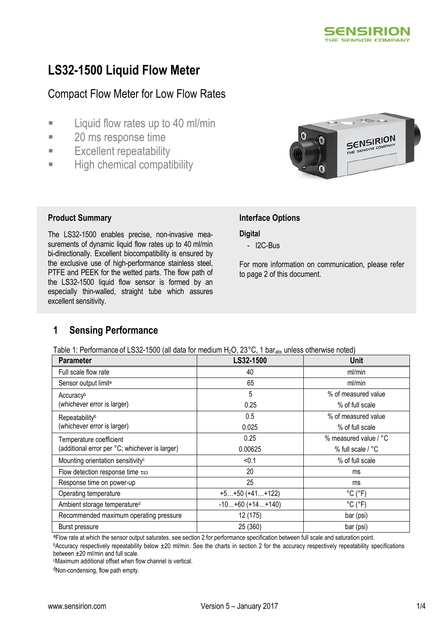

# **LS32-1500 Liquid Flow Meter**

# Compact Flow Meter for Low Flow Rates

- **Example 1** Liquid flow rates up to 40 ml/min
- **20 ms response time**
- **Excellent repeatability**
- **High chemical compatibility**



#### **Product Summary Interface Options**

The LS32-1500 enables precise, non-invasive measurements of dynamic liquid flow rates up to 40 ml/min bi-directionally. Excellent biocompatibility is ensured by the exclusive use of high-performance stainless steel, PTFE and PEEK for the wetted parts. The flow path of the LS32-1500 liquid flow sensor is formed by an especially thin-walled, straight tube which assures excellent sensitivity.

#### **Digital**

- I2C-Bus

For more information on communication, please refer to page 2 of this document.

## **1 Sensing Performance**

Table 1: Performance of LS32-1500 (all data for medium H<sub>2</sub>O, 23°C, 1 bar<sub>ahs</sub> unless otherwise noted)

| Parameter                                      | LS32-1500          | <b>Unit</b>                  |
|------------------------------------------------|--------------------|------------------------------|
| Full scale flow rate                           | 40                 | ml/min                       |
| Sensor output limit <sup>a</sup>               | 65                 | ml/min                       |
| Accuracyb                                      | 5                  | % of measured value          |
| (whichever error is larger)                    | 0.25               | % of full scale              |
| Repeatability <sup>b</sup>                     | 0.5                | % of measured value          |
| (whichever error is larger)                    | 0.025              | % of full scale              |
| Temperature coefficient                        | 0.25               | % measured value / °C        |
| (additional error per °C; whichever is larger) | 0.00625            | % full scale / °C            |
| Mounting orientation sensitivity <sup>c</sup>  | < 0.1              | % of full scale              |
| Flow detection response time $\tau_{63}$       | 20                 | ms                           |
| Response time on power-up                      | 25                 | ms                           |
| Operating temperature                          | $+5+50 (+41+122)$  | $^{\circ}$ C ( $^{\circ}$ F) |
| Ambient storage temperature <sup>d</sup>       | $-10+60 (+14+140)$ | $^{\circ}$ C ( $^{\circ}$ F) |
| Recommended maximum operating pressure         | 12 (175)           | bar (psi)                    |
| Burst pressure                                 | 25 (360)           | bar (psi)                    |

aFlow rate at which the sensor output saturates, see section 2 for performance specification between full scale and saturation point.

**bAccuracy respectively repeatability below ±20 ml/min. See the charts in section 2 for the accuracy respectively repeatability specifications** between ±20 ml/min and full scale.

<sup>c</sup>Maximum additional offset when flow channel is vertical.

<sup>d</sup>Non-condensing, flow path empty.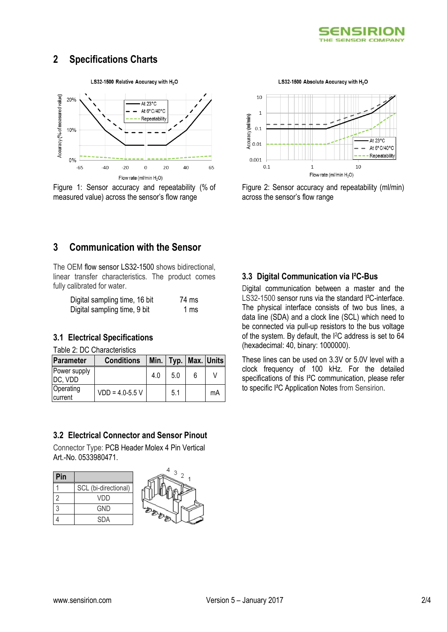

## **2 Specifications Charts**

LS32-1500 Relative Accuracy with H<sub>2</sub>O



Figure 1: Sensor accuracy and repeatability (% of measured value) across the sensor's flow range

LS32-1500 Absolute Accuracy with H<sub>2</sub>O



Figure 2: Sensor accuracy and repeatability (ml/min) across the sensor's flow range

## **3 Communication with the Sensor**

The OEM flow sensor LS32-1500 shows bidirectional, linear transfer characteristics. The product comes fully calibrated for water.

| Digital sampling time, 16 bit | 74 ms |
|-------------------------------|-------|
| Digital sampling time, 9 bit  | 1 ms  |

#### **3.1 Electrical Specifications**

Table 2: DC Characteristics

| Parameter               | <b>Conditions</b>   |     |     |   | Min.   Typ.   Max.   Units |
|-------------------------|---------------------|-----|-----|---|----------------------------|
| Power supply<br>DC, VDD |                     | 4.0 | 5.0 | հ |                            |
| Operating<br>current    | $VDD = 4.0 - 5.5 V$ |     | 5.1 |   | mA                         |

#### **3.2 Electrical Connector and Sensor Pinout**

Connector Type: PCB Header Molex 4 Pin Vertical Art.-No. 0533980471.

| Pin |                      |
|-----|----------------------|
|     | SCL (bi-directional) |
| 2   | VDD                  |
| 3   | <b>GND</b>           |
|     | <b>SDA</b>           |



#### **3.3 Digital Communication via I²C-Bus**

Digital communication between a master and the LS32-1500 sensor runs via the standard I²C-interface. The physical interface consists of two bus lines, a data line (SDA) and a clock line (SCL) which need to be connected via pull-up resistors to the bus voltage of the system. By default, the I2C address is set to 64 (hexadecimal: 40, binary: 1000000).

These lines can be used on 3.3V or 5.0V level with a clock frequency of 100 kHz. For the detailed specifications of this I²C communication, please refer to specific I²C Application Notes from Sensirion.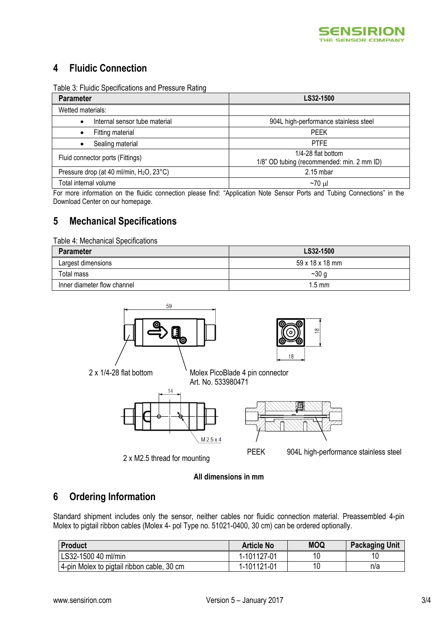

## **4 Fluidic Connection**

| Table 3: Fluidic Specifications and Pressure Rating |  |  |
|-----------------------------------------------------|--|--|
|-----------------------------------------------------|--|--|

| <b>Parameter</b>                                     | LS32-1500                                                        |
|------------------------------------------------------|------------------------------------------------------------------|
| Wetted materials:                                    |                                                                  |
| Internal sensor tube material<br>$\bullet$           | 904L high-performance stainless steel                            |
| Fitting material                                     | <b>PEEK</b>                                                      |
| Sealing material<br>٠                                | <b>PTFE</b>                                                      |
| Fluid connector ports (Fittings)                     | 1/4-28 flat bottom<br>1/8" OD tubing (recommended: min. 2 mm ID) |
| Pressure drop (at 40 ml/min, H <sub>2</sub> O, 23°C) | $2.15$ mbar                                                      |
| Total internal volume                                | ~70 ul                                                           |

For more information on the fluidic connection please find: "Application Note Sensor Ports and Tubing Connections" in the Download Center on our homepage.

# **5 Mechanical Specifications**

Table 4: Mechanical Specifications

| Parameter                   | LS32-1500        |
|-----------------------------|------------------|
| Largest dimensions          | 59 x 18 x 18 mm  |
| Total mass                  | $-30g$           |
| Inner diameter flow channel | $1.5 \text{ mm}$ |



2 x M2.5 thread for mounting



#### **All dimensions in mm**

## **6 Ordering Information**

Standard shipment includes only the sensor, neither cables nor fluidic connection material. Preassembled 4-pin Molex to pigtail ribbon cables (Molex 4- pol Type no. 51021-0400, 30 cm) can be ordered optionally.

| <b>Product</b>                             | <b>Article No</b> | <b>MOQ</b> | <b>Packaging Unit</b> |
|--------------------------------------------|-------------------|------------|-----------------------|
| LS32-1500 40 ml/min                        | 1-101127-01       | 10         | 10                    |
| 4-pin Molex to pigtail ribbon cable, 30 cm | 1-101121-01       | 10         | n/a                   |